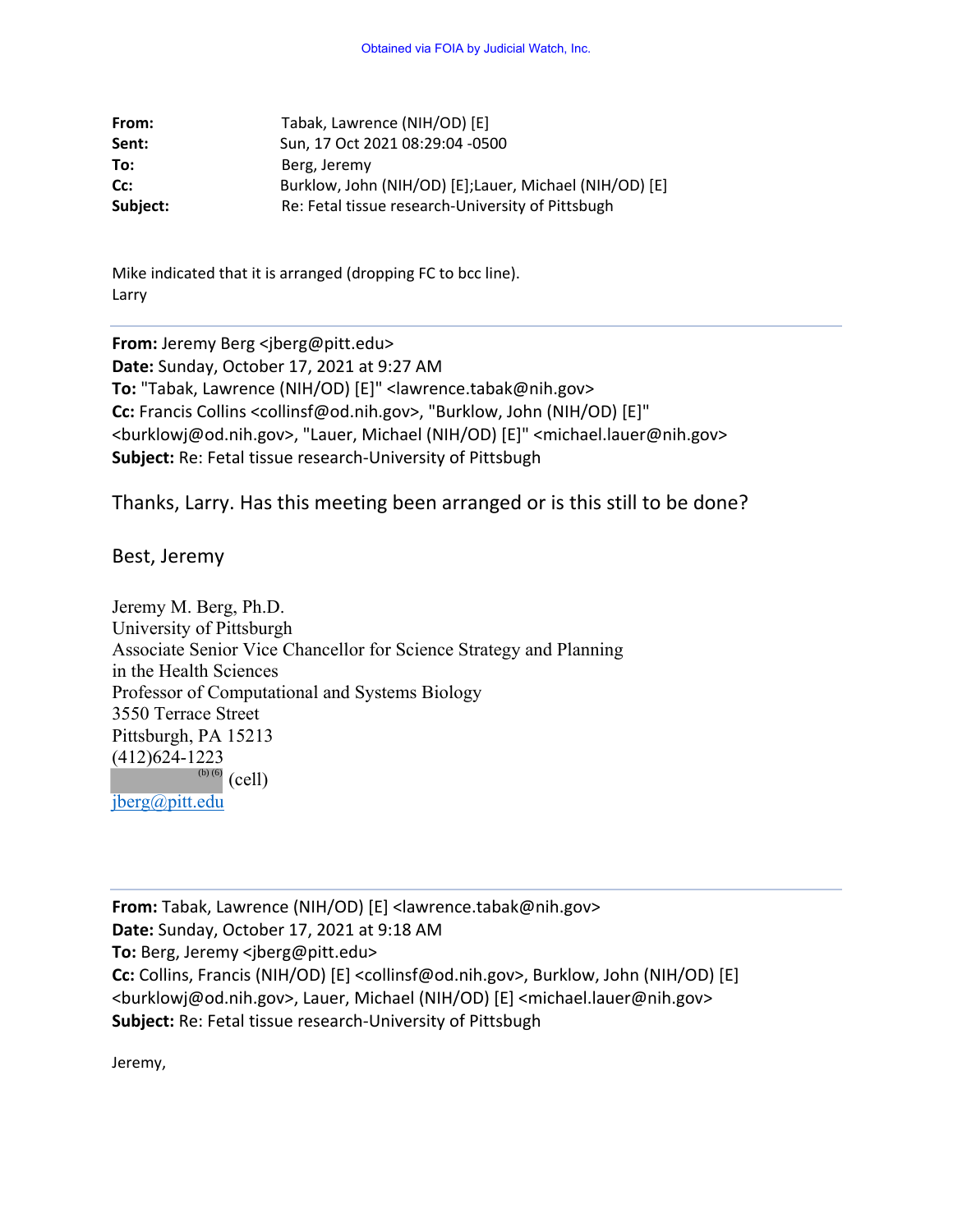| From:    | Tabak, Lawrence (NIH/OD) [E]                           |
|----------|--------------------------------------------------------|
| Sent:    | Sun, 17 Oct 2021 08:29:04 -0500                        |
| To:      | Berg, Jeremy                                           |
| Cc:      | Burklow, John (NIH/OD) [E];Lauer, Michael (NIH/OD) [E] |
| Subject: | Re: Fetal tissue research-University of Pittsbugh      |

Mike indicated that it is arranged (dropping FC to bcc line). Larry

**From:** Jeremy Berg <jberg@pitt.edu> **Date:** Sunday, October 17, 2021 at 9:27 AM **To:** "Tabak, Lawrence (NIH/OD) [E]" <lawrence.tabak@nih.gov> **Cc:** Francis Collins <collinsf@od.nih.gov>, "Burklow, John (NIH/OD) [E]" <burklowj@od.nih.gov>, "Lauer, Michael (NIH/OD) [E]" <michael.lauer@nih.gov> **Subject:** Re: Fetal tissue research-University of Pittsbugh

Thanks, Larry. Has this meeting been arranged or is this still to be done?

Best, Jeremy

Jeremy M. Berg, Ph.D. University of Pittsburgh Associate Senior Vice Chancellor for Science Strategy and Planning in the Health Sciences Professor of Computational and Systems Biology 3550 Terrace Street Pittsburgh, PA 15213 (412)624-1223  $\overset{\text{(b)}\, (6)}{ }$  (cell) jberg@pitt.edu

**From:** Tabak, Lawrence (NIH/OD) [E] <lawrence.tabak@nih.gov> **Date:** Sunday, October 17, 2021 at 9:18 AM **To:** Berg, Jeremy <jberg@pitt.edu> **Cc:** Collins, Francis (NIH/OD) [E] <collinsf@od.nih.gov>, Burklow, John (NIH/OD) [E] <burklowj@od.nih.gov>, Lauer, Michael (NIH/OD) [E] <michael.lauer@nih.gov> **Subject:** Re: Fetal tissue research-University of Pittsbugh

Jeremy,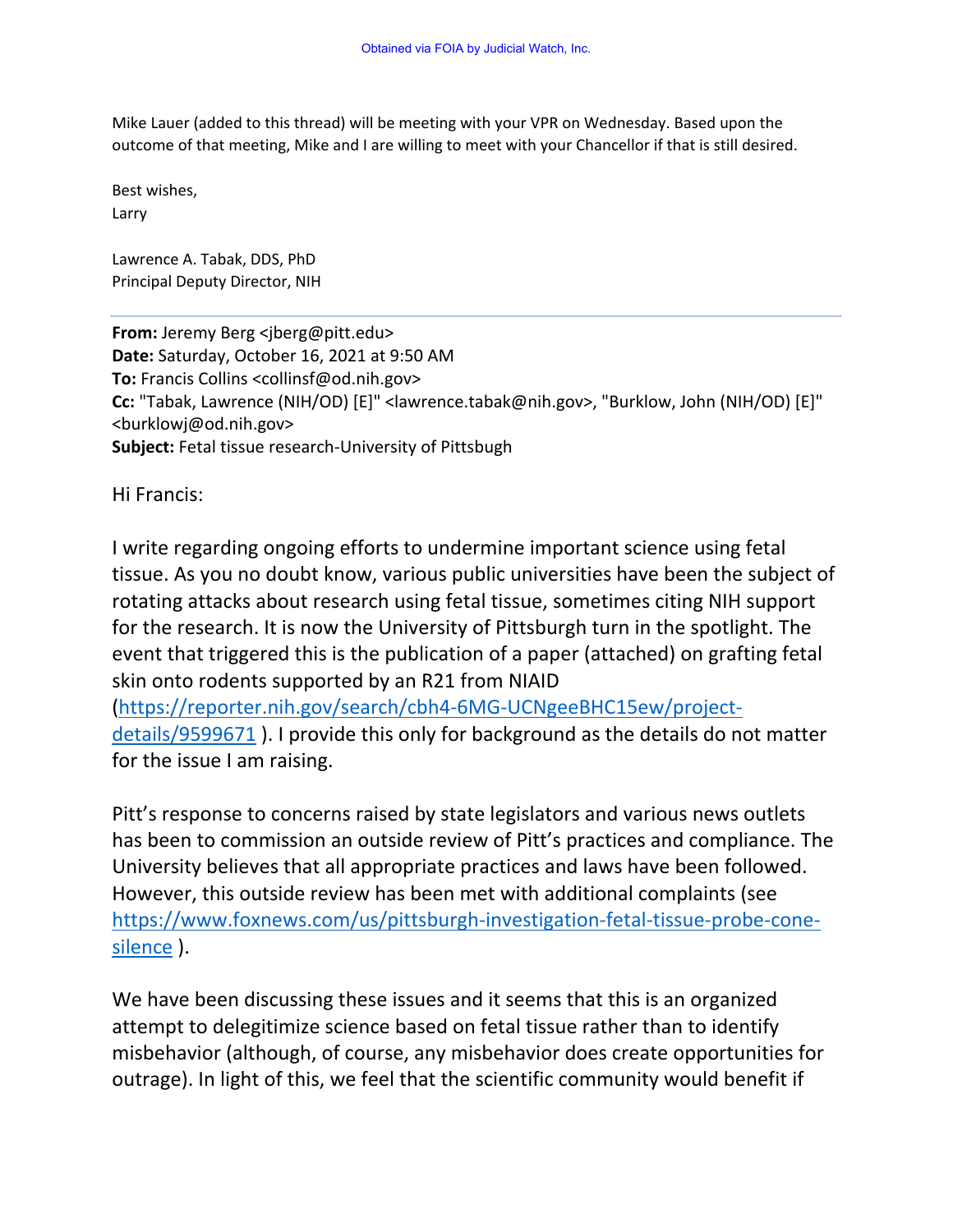Mike Lauer (added to this thread) will be meeting with your VPR on Wednesday. Based upon the outcome of that meeting, Mike and I are willing to meet with your Chancellor if that is still desired.

Best wishes, Larry

Lawrence A. Tabak, DDS, PhD Principal Deputy Director, NIH

**From:** Jeremy Berg <jberg@pitt.edu> **Date:** Saturday, October 16, 2021 at 9:50 AM **To:** Francis Collins <collinsf@od.nih.gov> **Cc:** "Tabak, Lawrence (NIH/OD) [E]" <lawrence.tabak@nih.gov>, "Burklow, John (NIH/OD) [E]" <burklowj@od.nih.gov> **Subject:** Fetal tissue research-University of Pittsbugh

Hi Francis:

I write regarding ongoing efforts to undermine important science using fetal tissue. As you no doubt know, various public universities have been the subject of rotating attacks about research using fetal tissue, sometimes citing NIH support for the research. It is now the University of Pittsburgh turn in the spotlight. The event that triggered this is the publication of a paper (attached) on grafting fetal skin onto rodents supported by an R21 from NIAID

(https://reporter.nih.gov/search/cbh4-6MG-UCNgeeBHC15ew/projectdetails/9599671 ). I provide this only for background as the details do not matter for the issue I am raising.

Pitt's response to concerns raised by state legislators and various news outlets has been to commission an outside review of Pitt's practices and compliance. The University believes that all appropriate practices and laws have been followed. However, this outside review has been met with additional complaints (see https://www.foxnews.com/us/pittsburgh-investigation-fetal-tissue-probe-conesilence ).

We have been discussing these issues and it seems that this is an organized attempt to delegitimize science based on fetal tissue rather than to identify misbehavior (although, of course, any misbehavior does create opportunities for outrage). In light of this, we feel that the scientific community would benefit if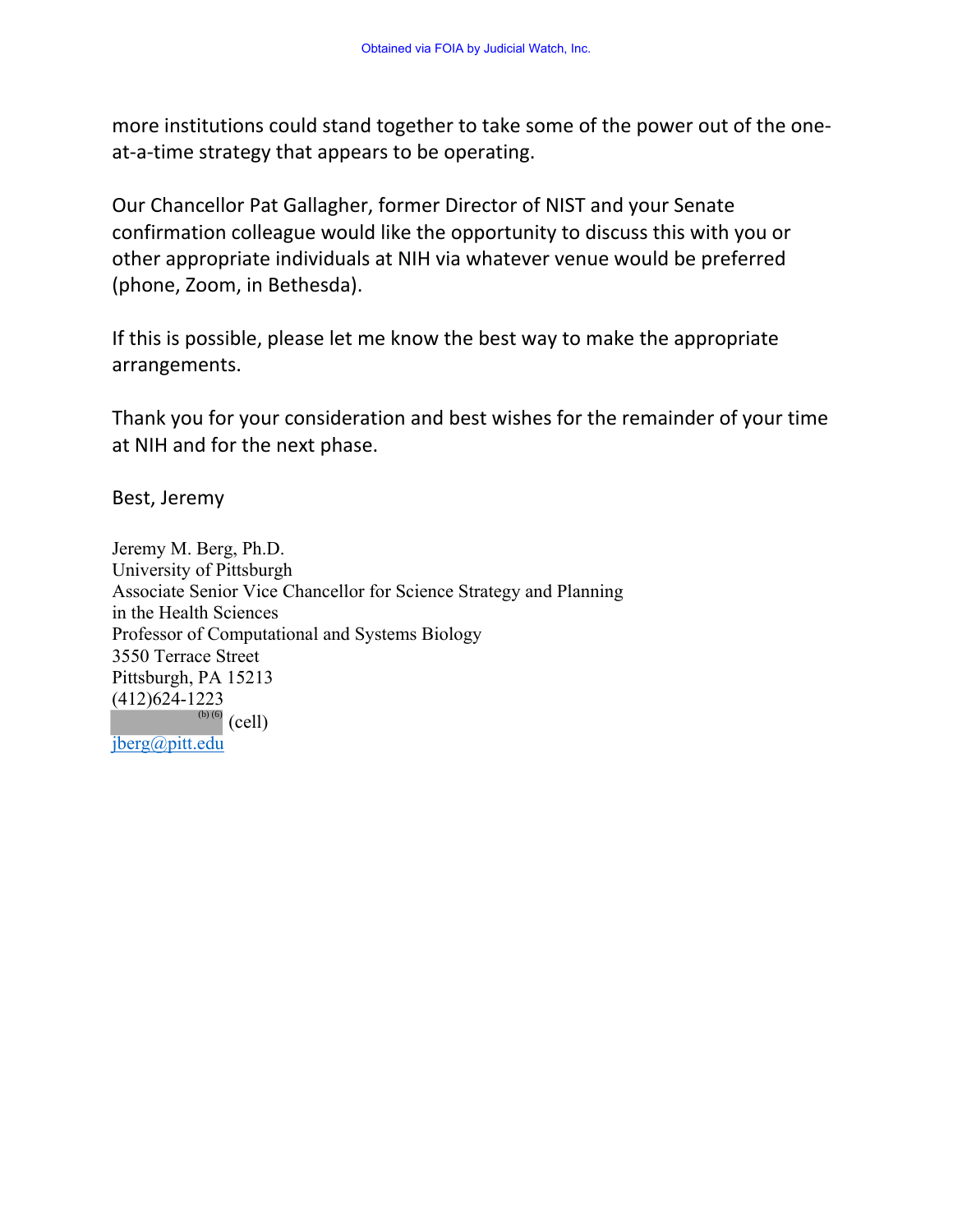more institutions could stand together to take some of the power out of the oneat-a-time strategy that appears to be operating.

Our Chancellor Pat Gallagher, former Director of NIST and your Senate confirmation colleague would like the opportunity to discuss this with you or other appropriate individuals at NIH via whatever venue would be preferred (phone, Zoom, in Bethesda).

If this is possible, please let me know the best way to make the appropriate arrangements.

Thank you for your consideration and best wishes for the remainder of your time at NIH and for the next phase.

Best, Jeremy

Jeremy M. Berg, Ph.D. University of Pittsburgh Associate Senior Vice Chancellor for Science Strategy and Planning in the Health Sciences Professor of Computational and Systems Biology 3550 Terrace Street Pittsburgh, PA 15213 (412)624-1223  $\overset{\text{(b)}\, (6)}{ }$  (cell) jberg@pitt.edu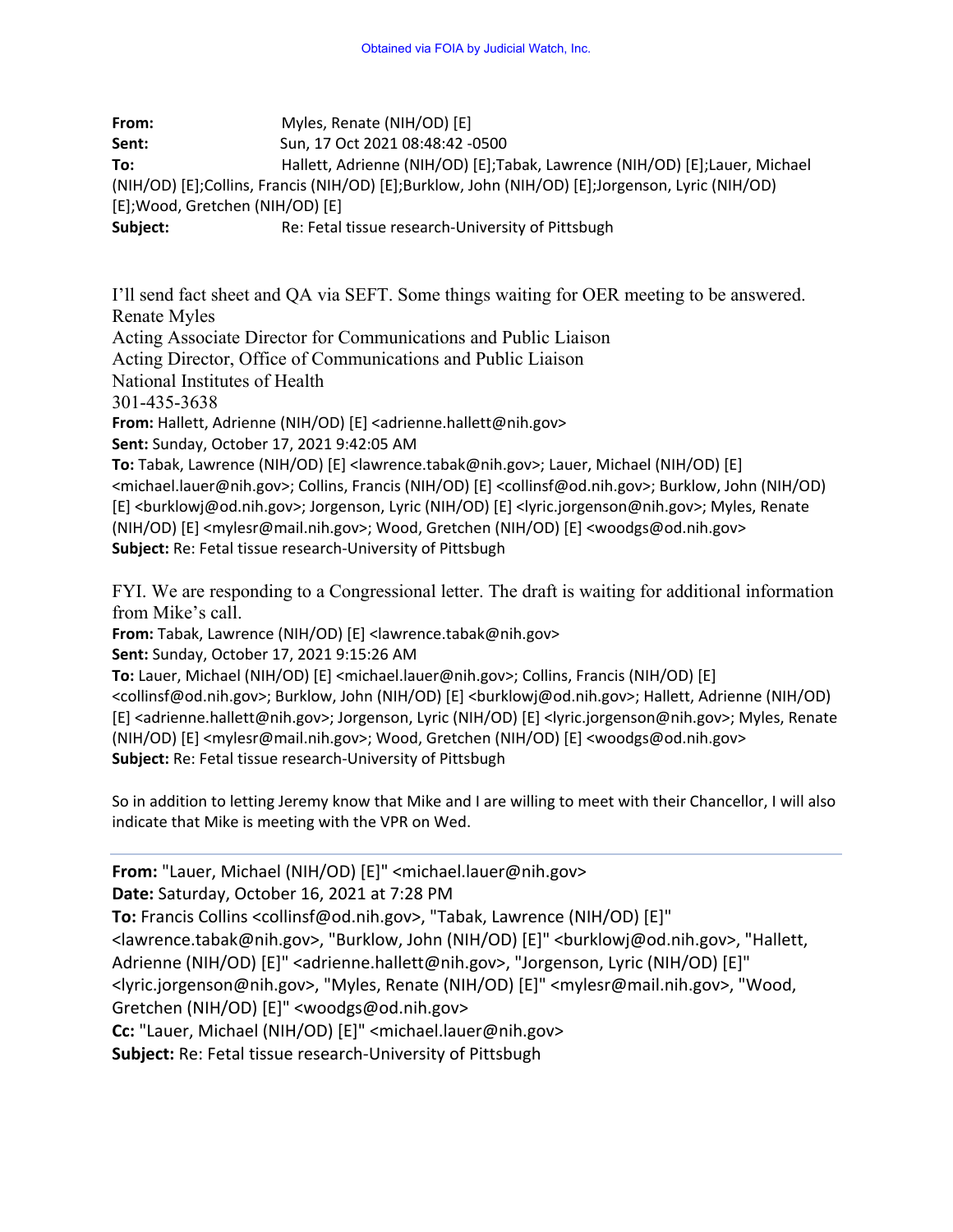**From:** Myles, Renate (NIH/OD) [E] **Sent:** Sun, 17 Oct 2021 08:48:42 -0500 **To:** Hallett, Adrienne (NIH/OD) [E];Tabak, Lawrence (NIH/OD) [E];Lauer, Michael (NIH/OD) [E];Collins, Francis (NIH/OD) [E];Burklow, John (NIH/OD) [E];Jorgenson, Lyric (NIH/OD) [E];Wood, Gretchen (NIH/OD) [E] **Subject:** Re: Fetal tissue research-University of Pittsbugh

I'll send fact sheet and QA via SEFT. Some things waiting for OER meeting to be answered. Renate Myles

Acting Associate Director for Communications and Public Liaison

Acting Director, Office of Communications and Public Liaison

National Institutes of Health

301-435-3638

**From:** Hallett, Adrienne (NIH/OD) [E] <adrienne.hallett@nih.gov>

**Sent:** Sunday, October 17, 2021 9:42:05 AM

**To:** Tabak, Lawrence (NIH/OD) [E] <lawrence.tabak@nih.gov>; Lauer, Michael (NIH/OD) [E] <michael.lauer@nih.gov>; Collins, Francis (NIH/OD) [E] <collinsf@od.nih.gov>; Burklow, John (NIH/OD) [E] <burklowj@od.nih.gov>; Jorgenson, Lyric (NIH/OD) [E] <lyric.jorgenson@nih.gov>; Myles, Renate (NIH/OD) [E] <mylesr@mail.nih.gov>; Wood, Gretchen (NIH/OD) [E] <woodgs@od.nih.gov> **Subject:** Re: Fetal tissue research-University of Pittsbugh

FYI. We are responding to a Congressional letter. The draft is waiting for additional information from Mike's call.

**From:** Tabak, Lawrence (NIH/OD) [E] <lawrence.tabak@nih.gov>

**Sent:** Sunday, October 17, 2021 9:15:26 AM

**To:** Lauer, Michael (NIH/OD) [E] <michael.lauer@nih.gov>; Collins, Francis (NIH/OD) [E] <collinsf@od.nih.gov>; Burklow, John (NIH/OD) [E] <burklowj@od.nih.gov>; Hallett, Adrienne (NIH/OD) [E] <adrienne.hallett@nih.gov>; Jorgenson, Lyric (NIH/OD) [E] <lyric.jorgenson@nih.gov>; Myles, Renate (NIH/OD) [E] <mylesr@mail.nih.gov>; Wood, Gretchen (NIH/OD) [E] <woodgs@od.nih.gov> **Subject:** Re: Fetal tissue research-University of Pittsbugh

So in addition to letting Jeremy know that Mike and I are willing to meet with their Chancellor, I will also indicate that Mike is meeting with the VPR on Wed.

**From:** "Lauer, Michael (NIH/OD) [E]" <michael.lauer@nih.gov> **Date:** Saturday, October 16, 2021 at 7:28 PM **To:** Francis Collins <collinsf@od.nih.gov>, "Tabak, Lawrence (NIH/OD) [E]" <lawrence.tabak@nih.gov>, "Burklow, John (NIH/OD) [E]" <burklowj@od.nih.gov>, "Hallett, Adrienne (NIH/OD) [E]" <adrienne.hallett@nih.gov>, "Jorgenson, Lyric (NIH/OD) [E]" <lyric.jorgenson@nih.gov>, "Myles, Renate (NIH/OD) [E]" <mylesr@mail.nih.gov>, "Wood, Gretchen (NIH/OD) [E]" <woodgs@od.nih.gov> **Cc:** "Lauer, Michael (NIH/OD) [E]" <michael.lauer@nih.gov> **Subject:** Re: Fetal tissue research-University of Pittsbugh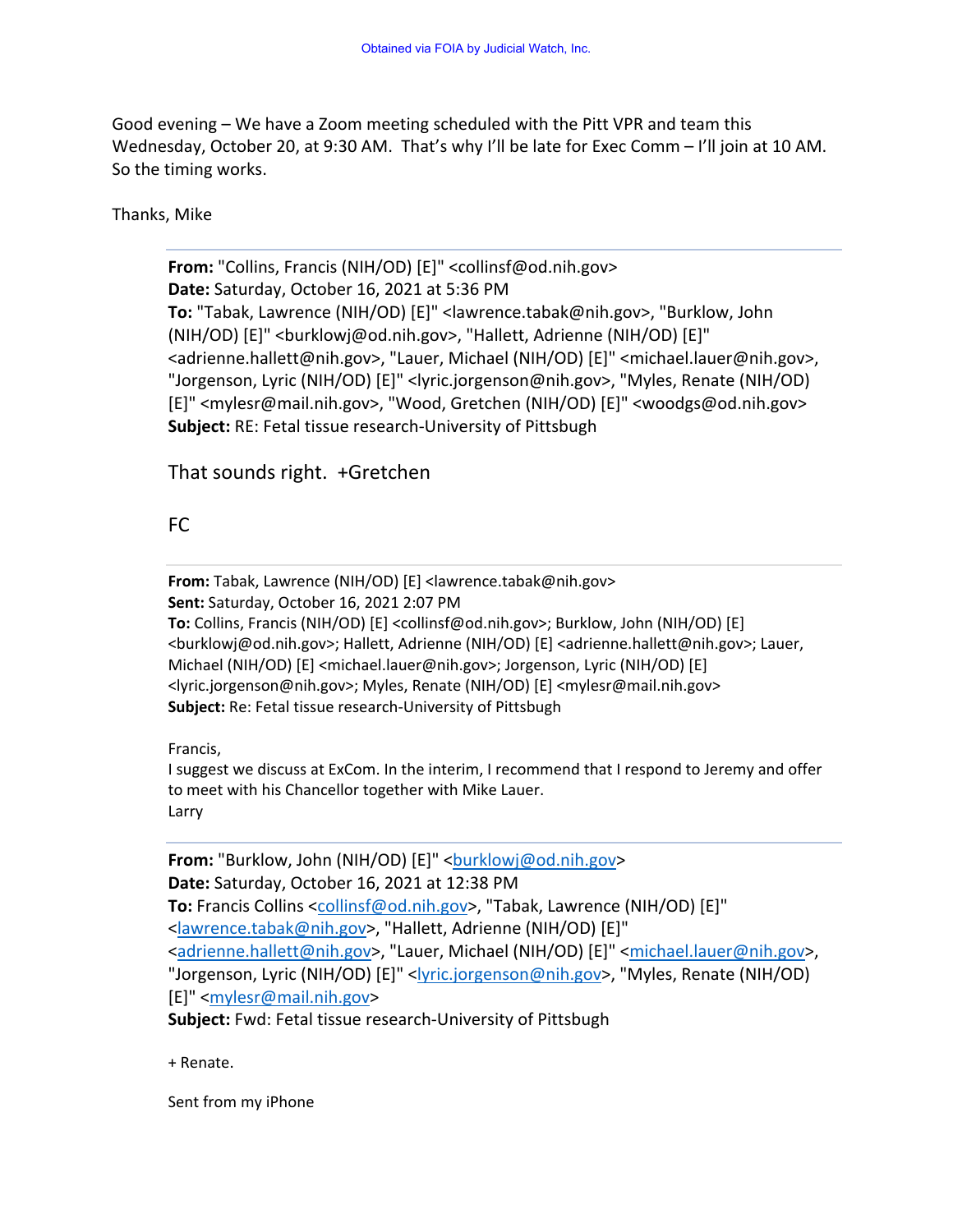Good evening – We have a Zoom meeting scheduled with the Pitt VPR and team this Wednesday, October 20, at 9:30 AM. That's why I'll be late for Exec Comm - I'll join at 10 AM. So the timing works.

## Thanks, Mike

**From:** "Collins, Francis (NIH/OD) [E]" <collinsf@od.nih.gov> **Date:** Saturday, October 16, 2021 at 5:36 PM **To:** "Tabak, Lawrence (NIH/OD) [E]" <lawrence.tabak@nih.gov>, "Burklow, John (NIH/OD) [E]" <burklowj@od.nih.gov>, "Hallett, Adrienne (NIH/OD) [E]" <adrienne.hallett@nih.gov>, "Lauer, Michael (NIH/OD) [E]" <michael.lauer@nih.gov>, "Jorgenson, Lyric (NIH/OD) [E]" <lyric.jorgenson@nih.gov>, "Myles, Renate (NIH/OD) [E]" <mylesr@mail.nih.gov>, "Wood, Gretchen (NIH/OD) [E]" <woodgs@od.nih.gov> **Subject:** RE: Fetal tissue research-University of Pittsbugh

## That sounds right. +Gretchen

## FC

**From:** Tabak, Lawrence (NIH/OD) [E] <lawrence.tabak@nih.gov> **Sent:** Saturday, October 16, 2021 2:07 PM **To:** Collins, Francis (NIH/OD) [E] <collinsf@od.nih.gov>; Burklow, John (NIH/OD) [E] <burklowj@od.nih.gov>; Hallett, Adrienne (NIH/OD) [E] <adrienne.hallett@nih.gov>; Lauer, Michael (NIH/OD) [E] <michael.lauer@nih.gov>; Jorgenson, Lyric (NIH/OD) [E] <lyric.jorgenson@nih.gov>; Myles, Renate (NIH/OD) [E] <mylesr@mail.nih.gov> **Subject:** Re: Fetal tissue research-University of Pittsbugh

Francis,

I suggest we discuss at ExCom. In the interim, I recommend that I respond to Jeremy and offer to meet with his Chancellor together with Mike Lauer. Larry

From: "Burklow, John (NIH/OD) [E]" <br />
letarial<br/>mod.nih.gov> **Date:** Saturday, October 16, 2021 at 12:38 PM **To:** Francis Collins <collinsf@od.nih.gov>, "Tabak, Lawrence (NIH/OD) [E]" <lawrence.tabak@nih.gov>, "Hallett, Adrienne (NIH/OD) [E]" <adrienne.hallett@nih.gov>, "Lauer, Michael (NIH/OD) [E]" <michael.lauer@nih.gov>, "Jorgenson, Lyric (NIH/OD) [E]" <lyric.jorgenson@nih.gov>, "Myles, Renate (NIH/OD) [E]" <mylesr@mail.nih.gov> **Subject:** Fwd: Fetal tissue research-University of Pittsbugh

+ Renate.

Sent from my iPhone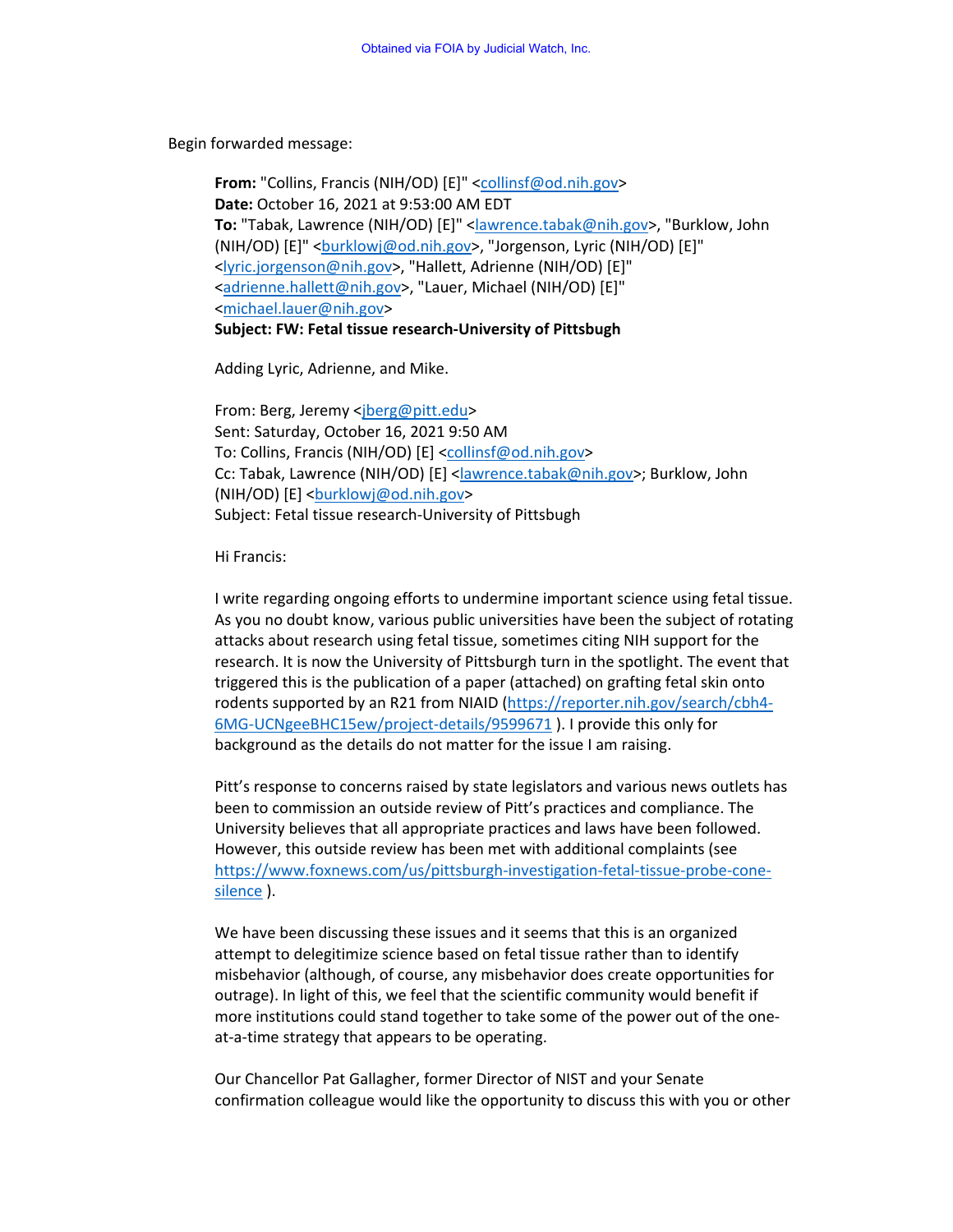Begin forwarded message:

**From:** "Collins, Francis (NIH/OD) [E]" <collinsf@od.nih.gov> **Date:** October 16, 2021 at 9:53:00 AM EDT **To:** "Tabak, Lawrence (NIH/OD) [E]" <lawrence.tabak@nih.gov>, "Burklow, John (NIH/OD) [E]" <barklowj@od.nih.gov>, "Jorgenson, Lyric (NIH/OD) [E]" <lyric.jorgenson@nih.gov>, "Hallett, Adrienne (NIH/OD) [E]" <adrienne.hallett@nih.gov>, "Lauer, Michael (NIH/OD) [E]" <michael.lauer@nih.gov> **Subject: FW: Fetal tissue research-University of Pittsbugh**

Adding Lyric, Adrienne, and Mike.

From: Berg, Jeremy <jberg@pitt.edu> Sent: Saturday, October 16, 2021 9:50 AM To: Collins, Francis (NIH/OD) [E] <collinsf@od.nih.gov> Cc: Tabak, Lawrence (NIH/OD) [E] <lawrence.tabak@nih.gov>; Burklow, John (NIH/OD) [E] <br />burklowj@od.nih.gov> Subject: Fetal tissue research-University of Pittsbugh

Hi Francis:

I write regarding ongoing efforts to undermine important science using fetal tissue. As you no doubt know, various public universities have been the subject of rotating attacks about research using fetal tissue, sometimes citing NIH support for the research. It is now the University of Pittsburgh turn in the spotlight. The event that triggered this is the publication of a paper (attached) on grafting fetal skin onto rodents supported by an R21 from NIAID (https://reporter.nih.gov/search/cbh4- 6MG-UCNgeeBHC15ew/project-details/9599671 ). I provide this only for background as the details do not matter for the issue I am raising.

Pitt's response to concerns raised by state legislators and various news outlets has been to commission an outside review of Pitt's practices and compliance. The University believes that all appropriate practices and laws have been followed. However, this outside review has been met with additional complaints (see https://www.foxnews.com/us/pittsburgh-investigation-fetal-tissue-probe-conesilence ).

We have been discussing these issues and it seems that this is an organized attempt to delegitimize science based on fetal tissue rather than to identify misbehavior (although, of course, any misbehavior does create opportunities for outrage). In light of this, we feel that the scientific community would benefit if more institutions could stand together to take some of the power out of the oneat-a-time strategy that appears to be operating.

Our Chancellor Pat Gallagher, former Director of NIST and your Senate confirmation colleague would like the opportunity to discuss this with you or other